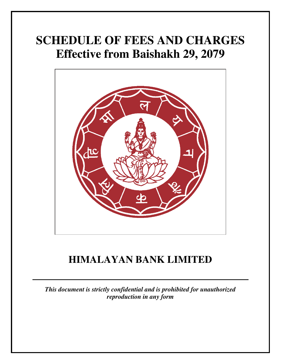# **SCHEDULE OF FEES AND CHARGES Effective from Baishakh 29, 2079**



# **HIMALAYAN BANK LIMITED**

*This document is strictly confidential and is prohibited for unauthorized reproduction in any form*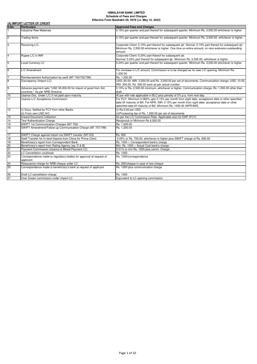|                  | (A) IMPORT LETTER OF CREDIT                                                                          |                                                                                                                                                                                                                                                                                |  |  |
|------------------|------------------------------------------------------------------------------------------------------|--------------------------------------------------------------------------------------------------------------------------------------------------------------------------------------------------------------------------------------------------------------------------------|--|--|
| S.No             | <b>Particulars</b>                                                                                   | <b>Approved Fees and Charges</b>                                                                                                                                                                                                                                               |  |  |
| $\mathbf{1}$     | <b>Industrial Raw Materials</b>                                                                      | 0.15% per quarter and part thereof for subsequent quarter. Minimum Rs. 2,000.00 whichever is higher                                                                                                                                                                            |  |  |
| $\overline{2}$   | <b>Trading Items</b>                                                                                 | 0.15% per quarter and part thereof for subsequent quarter. Minimum Rs. 2,000.00, whichever is higher.                                                                                                                                                                          |  |  |
| $\overline{3}$   | Revolving L/C                                                                                        | Corporate Client: 0.15% part thereof for subsequent gtr. Normal: 0.15% part thereof for subsequent gtr.<br>Minimum Rs. 2,500.00 whichever is higher. One time on entire amount; on next extension-outstanding<br>amount.                                                       |  |  |
| $\overline{4}$   | Rupee L/C in INR                                                                                     | Corporate Client: 0.24% part thereof for subsequent qtr.<br>Normal: 0.24% part thereof for subsequent qtr. Minimum Rs. 2,000.00, whichever is higher.                                                                                                                          |  |  |
| 5                | Local Currency LC                                                                                    | 0.24% per quarter and part thereof for subsequent quarter. Minimum Rs. 3,000.00 whichever is higher                                                                                                                                                                            |  |  |
| 6                | L/C Amendment                                                                                        | For increase in L/C amount, Commission is to be charged as for new L/C opening. Minimum Rs.<br>1.200.00                                                                                                                                                                        |  |  |
| $\boldsymbol{7}$ | Reimbursement Authorization by swift (MT 740/752/799)                                                | Rs. 1.200.00                                                                                                                                                                                                                                                                   |  |  |
| $\overline{8}$   | Discrepancy (Import LC)                                                                              | USD: 65.00, INR. 3,000.00 and Rs. 3,000.00 per set of documents. Communication charge: USD: 10.00,<br>IRS: 300.00, Rs. 300.00 each as per actual number.                                                                                                                       |  |  |
| $\overline{9}$   | Advance payment upto *USD 35,000.00 for import of good from 3rd<br>countries * As per NRB Directive. | 0.15% or Rs. 2,500.00 minimum, whichever is higher, Communication charge: Rs. 1,000.00 other than<br>draft.                                                                                                                                                                    |  |  |
| 10               | Usance Doc. Under L/C if not paid upon maturity                                                      | At par with rate applicable in BLC plus penalty of 2% p.a. from next day.                                                                                                                                                                                                      |  |  |
| 11               | Usance L/C Acceptance Commission                                                                     | For FCY: Minimum 0.065% upto 0.15% per month from sight date, acceptance date or other specified<br>date till maturity of Bill. For NPR, INR: 0.10% per month from sight date, acceptance date or other<br>specified date till maturity of Bill. Minimum Rs. 1000.00 (NPR/INR) |  |  |
| 12               | (i) Docs. Settled by FCY from other Banks<br>(ii) From own USD A/C                                   | (i) Rs.0.20 per USD<br>(ii) Processing fee of Rs. 1,500.00 per set of documents                                                                                                                                                                                                |  |  |
| 13               | <b>Inward Document Collection</b>                                                                    | As per the L/C Commission Rate. Applicable also for DAP (FCY)                                                                                                                                                                                                                  |  |  |
| 14               | <b>Text Authentication Charge</b>                                                                    | Reciprocal or Minimum Rs.4,000.00                                                                                                                                                                                                                                              |  |  |
| 15               | SWIFT 1st Communication Charges (MT 700)                                                             | Rs. 1,500.00                                                                                                                                                                                                                                                                   |  |  |
| 16               | SWIFT Amendment/Follow-up Communication Charge (MT 707/799)                                          | Rs. 1,200.00                                                                                                                                                                                                                                                                   |  |  |
| 17               | SWIFT Charge against import via SWIFT transfer (MT103)                                               | Rs. 600                                                                                                                                                                                                                                                                        |  |  |
| 18               | Swift Transfer for In-land Imports from China for Prime Client                                       | 0.05% or Rs. 750.00, whichever is higher plus SWIFT charge of Rs. 600.00                                                                                                                                                                                                       |  |  |
| 19               | Beneficiary's report from Correspondent Bank                                                         | Rs. 1000 + Correspondent bank's charge                                                                                                                                                                                                                                         |  |  |
| 20               | Beneficiary's report from Rating Agency (eg. D & B)                                                  | Min. Rs. 1000 + Actual Cost bank's charge                                                                                                                                                                                                                                      |  |  |
| 21               | Payment Commission (Usance & Mixed Payment LC)                                                       | 0.01% or min Rs. 1000 plus comm. Charge                                                                                                                                                                                                                                        |  |  |
| 22               | LC Cancellation unutilized                                                                           | Rs. 1000                                                                                                                                                                                                                                                                       |  |  |
| 23               | Correspondence made to regulatory bodies for approval at request of<br>applicant                     | Rs. 1000/correspondance                                                                                                                                                                                                                                                        |  |  |
| $\frac{24}{25}$  | Reissuance charge for NRB cheque under LC                                                            | Rs. 200/cheque in case of lost cheque                                                                                                                                                                                                                                          |  |  |
|                  | Correspondence made to beneficiary's bank at request of applicant                                    | Rs. 1000 plus communication charge                                                                                                                                                                                                                                             |  |  |
| 26               | Draft LC cancellation charge                                                                         | Rs. 1000                                                                                                                                                                                                                                                                       |  |  |
| 27               | Over Drawn commission under import LC                                                                | Equivalent to LC opening commission                                                                                                                                                                                                                                            |  |  |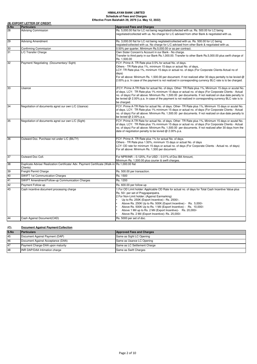|      | (B) EXPORT LETTER OF CREDIT                                                                               |                                                                                                                                                                                                                                                                                                                                                                                                                                                                                                            |  |
|------|-----------------------------------------------------------------------------------------------------------|------------------------------------------------------------------------------------------------------------------------------------------------------------------------------------------------------------------------------------------------------------------------------------------------------------------------------------------------------------------------------------------------------------------------------------------------------------------------------------------------------------|--|
| S.No | <b>Particulars</b>                                                                                        | <b>Approved Fees and Charges</b>                                                                                                                                                                                                                                                                                                                                                                                                                                                                           |  |
| 28   | <b>Advising Commission</b>                                                                                | Rs. 5,000.00 flat for LC not being negotiated/collected with us. Rs. 500.00 for LC being                                                                                                                                                                                                                                                                                                                                                                                                                   |  |
|      |                                                                                                           | negotiated/collected with us. No charge for L/C advised from other Bank & negotiated with us.                                                                                                                                                                                                                                                                                                                                                                                                              |  |
| 29   | <b>Advising Amendment</b>                                                                                 | Rs. 3,000.00 flat for LC not being negitated/collected with us. Rs. 500.00 for LC being                                                                                                                                                                                                                                                                                                                                                                                                                    |  |
|      |                                                                                                           | negiated/collected with us. No charge for L/C advised from other Bank & negotiated with us.                                                                                                                                                                                                                                                                                                                                                                                                                |  |
| 30   | Confirming Commission                                                                                     | 0.50% per quarter, Mimimum Rs.5,000.00 or as per contract.                                                                                                                                                                                                                                                                                                                                                                                                                                                 |  |
| 31   | L/C Transfer Charge                                                                                       | Own Sister Concern's Account in our Bank - No charge.<br>Transfer to third party in our Bank Rs.1,000.00. Transfer to other Bank Rs.5,000.00 plus swift charge of<br>Rs. 1,500.00                                                                                                                                                                                                                                                                                                                          |  |
| 32   | Payment/ Negotiating (Documentary/ Sight)                                                                 | FCY: Prime A- TR Rate plus 0.5% for actual No. of days.<br>Others - TR Rate plus 1%, minimum 15 days or actual No. of days,<br>LCY: TR Rate plus 1%, minimum 15 days or actual no. of days (For Corporate Clients-Actual no of<br>days)<br>For all above: Minimum Rs. 1,500.00 per document. If not realized after 30 days pentalty to be levied @<br>2.00% p.a. In case of the payment is not realized in corresponding currency BLC rate is to be charged.                                               |  |
| 33   | Usance                                                                                                    | (FCY: Prime A-TR Rate for actual No. of days. Other- TR Rate plus 1%, Minimum 15 days or acutal No.<br>of days. LCY: TR Rate plus 1% minimum 15 days or actual no. of days (For Corporate Clients - Actual<br>no. of days) For all above: Minimum Rs. 1,500.00 per documents. If not realized on due date penalty to<br>be levied @ 2.00% p.a. In case of the payment is not realized in corresponding currency BLC rate is to<br>be charged.                                                              |  |
| 34   | Negotiation of documents agnst our own L/C (Usance)                                                       | FCY: Prime A-TR Rate for actual No. of days. Other-TR Rate plus 1%, Minimum 15 days or acutal No.<br>of days. LCY: TR Rate plus 1% minimum 15 days or actual no. of days (For Corporate Clients - Actual<br>no. of days) For all above: Minimum Rs. 1,500.00 per documents. If not realized on due date penalty to<br>be levied $@$ 2.00% p.a.                                                                                                                                                             |  |
| 35   | Negotiation of documents agnst our own L/C (Sight)                                                        | FCY: Prime A-TR Rate for actual No. of days. Other- TR Rate plus 1%, Minimum 15 days or acutal No.<br>of days. LCY: TR Rate plus 1% minimum 15 days or actual no. of days (For Corporate Clients - Actual<br>no. of days) For all above: Minimum Rs. 1,500.00 per documents. If not realized after 30 days from the<br>date of negotiation penalty to be levied @ 2.00% p.a.                                                                                                                               |  |
| 36   | Outward Doc. Purchase not under L/C (BILTY)                                                               | FCY: Prime A- TR Rate plus 1% for actual No. of days.<br>Others - TR Rate plus 1.50%, minimum 15 days or actual No. of days<br>LCY: OD rate for minimum 15 days or actual no. of days (For Corporate Clients - Actual no. of days)<br>For all above: Minimum Rs. 1,500 per document.                                                                                                                                                                                                                       |  |
| 37   | Outward Doc Coll.                                                                                         | For NPR/INR - 0.125%, For USD - 0.01% of Doc Bill Amount,<br>Minimum Rs. 1,500.00 plus courier & swift charges.                                                                                                                                                                                                                                                                                                                                                                                            |  |
| 38   | Duplicate Advise/ Realization Certificate/ Adv. Payment Certificate (Walk-in Rs.1,000.00 flat<br>Clients) |                                                                                                                                                                                                                                                                                                                                                                                                                                                                                                            |  |
| 39   | Freight Permit Charge                                                                                     | Rs. 500.00 per transaction.                                                                                                                                                                                                                                                                                                                                                                                                                                                                                |  |
| 40   | <b>SWIFT 1st Communication Charges</b>                                                                    | Rs. 1500                                                                                                                                                                                                                                                                                                                                                                                                                                                                                                   |  |
| 41   | SWIFT Amendment/Follow-up Communication Charges                                                           | Rs. 1200                                                                                                                                                                                                                                                                                                                                                                                                                                                                                                   |  |
| 42   | Payment Follow-up                                                                                         | Rs. 600.00 per follow-up                                                                                                                                                                                                                                                                                                                                                                                                                                                                                   |  |
| 43   | Cash incentive document processing charge                                                                 | 1. For OD Limit holder: Applicable OD Rate for actual no. of days for Total Cash Incentive Value plus<br>Rs. 50/- per set of Pragyapanpatra.<br>2. For Non-Limit holder: (Against Earmarking)<br>Up to Rs. 250K (Export Incentive) - Rs. 2500/-.<br>Above Rs. 250K Up to Rs. 500K (Export Incentive) - Rs. 5,000/-<br>Above Rs. 500K Up to Rs. 1 Mil (Export Incentive) - Rs. 10,000/-<br>Above 1 Mil up to Rs. 2 Mil (Export Incentive)- Rs. 20,000/-<br>Above Rs. 2 Mil (Export Incentive)- Rs. 25,000/- |  |
| 44   | Cash Against Document(CAD)                                                                                | Rs. 5000 per set of doc.                                                                                                                                                                                                                                                                                                                                                                                                                                                                                   |  |

| (C). | <b>Document Against Payment/Collection</b> |                                  |
|------|--------------------------------------------|----------------------------------|
| S.No | <b>Particulars</b>                         | <b>Approved Fees and Charges</b> |
| 45   | Document Against Payment (DAP)             | Same as Sight LC Opening         |
| 46   | Document Against Acceptance (DAA)          | Same as Usance LC Opening        |
| 47   | Payment Charge-DAA upon maturity           | Same as LC Settlement Charge     |
| 48   | <b>INR DAP/DAA Intimation charge</b>       | Same as Swift Charges            |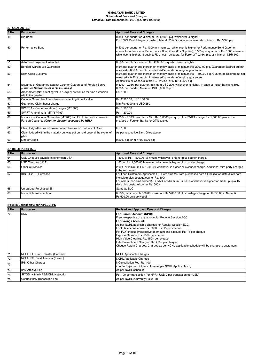# **(D) GUARANTEE**

| S.No | Particulars                                                                                                               | <b>Approved Fees and Charges</b>                                                                                                                                                                                                                                                                           |
|------|---------------------------------------------------------------------------------------------------------------------------|------------------------------------------------------------------------------------------------------------------------------------------------------------------------------------------------------------------------------------------------------------------------------------------------------------|
| 49   | <b>Bid Bond</b>                                                                                                           | 0.35% per quarter or Minimum Rs. 1,500/- p.g. whichever is higher.<br>For 100% Cash Margin or cash collateral: 50% Discount on above rate, minimum Rs. 500/- p.g                                                                                                                                           |
| 50   | Performance Bond                                                                                                          | 0.40% per quarter or Rs. 1000 minimum p.q. whichever is higher for Performance Bond Gtee (for<br>contractors). In case of Performance Bond Gtee (For Supplier), 0.50% per quarter or Rs. 1500 minimum<br>whichever is higher. If against FD or cash collateral for Forex GT 0.15% p.q. or minimum NPR 500. |
| 51   | <b>Advanced Payment Guarantee</b>                                                                                         | 0.50% per gtr or minimum Rs. 2000.00 p.g. whichever is higher.                                                                                                                                                                                                                                             |
| 52   | Bonded Warehouse Guarantee                                                                                                | 0.5% per quarter and thereon on monthly basis or minimum Rs. 2000.00 p.q. Guarantee Expired but not<br>released = 0.50% per gtr. till released/surrender of original quarantee.                                                                                                                            |
| 53   | Exim Code Customs                                                                                                         | 0.5% per quarter and thereon on monthly basis or minimum Rs. 1,500.00 p.q. Guarantee Expired but not<br>released = 0.50% per qtr. till released/surrender of original guarantee.<br>Against FD or Cash Collateral: 0.15% p.q. or Min Rs. 500 p.q.                                                          |
| 54   | Issuance of Guarantee against Counter Guarantee of Foreign Banks<br>(Counter Guarantee of A class Banks)                  | 0.30% - 0.75% per quarter, minimum USD 200, whichever is higher. In case of Indian Banks, 0.30%-<br>0.75% per quarter, Minimum INR 3,000.00 p.q.                                                                                                                                                           |
| 55   | Amendment (Not effecting value & expiry as well as for time extension<br>within the quarter)                              | Rs. 1500                                                                                                                                                                                                                                                                                                   |
| 56   | Counter Guarantee Amendment not affecting time & value                                                                    | Rs. 2,500.00, USD 100.00                                                                                                                                                                                                                                                                                   |
| 57   | Guarantee Claim honor charge                                                                                              | Min Rs. 5000 and USD 250                                                                                                                                                                                                                                                                                   |
| 58   | SWIFT 1st Communication Charges (MT 760)                                                                                  | Rs. 1,500.00                                                                                                                                                                                                                                                                                               |
| 59   | SWIFT Amendment (MT 767/799)                                                                                              | Rs. 1,200.00                                                                                                                                                                                                                                                                                               |
| 60   | Issuance of Counter Guarantee (MT760) by HBL to issue Guarantee in<br>Foreign Countries (Counter Guarantee Issued by HBL) | 0.75% - 2.00% per qtr. or Min. Rs. 5,000/- per qtr., plus SWIFT charge Rs. 1,500.00 plus actual<br>charges of Foreign Banks for GT issuance                                                                                                                                                                |
| 61   | Claim lodged but withdrawn on mean time within maturity of G'tee                                                          | Rs. 1000                                                                                                                                                                                                                                                                                                   |
| 62   | Claim lodged within the maturity but was put on hold beyond the expiry of<br>q'tee                                        | As per respective Bank G'tee above                                                                                                                                                                                                                                                                         |
| 63   | Line of Credit                                                                                                            | 0.20% p.g. or min Rs. 1500 p.g.                                                                                                                                                                                                                                                                            |

# **(E) BILLS PURCHASE**

| S.No | <b>Particulars</b>                    | <b>Approved Fees and Charges</b>                                                                                                                                                                                                                                                            |
|------|---------------------------------------|---------------------------------------------------------------------------------------------------------------------------------------------------------------------------------------------------------------------------------------------------------------------------------------------|
| 64   | USD Cheques payable in other than USA | 1.50% or Rs. 1,500.00 Minimum whichever is higher plus courier charge.                                                                                                                                                                                                                      |
| 65   | USD Cheques (USA)                     | 1.5% or Rs. 1,500.00 Minimum. whichever is higher plus courier charge.                                                                                                                                                                                                                      |
| 66   | <b>Other Currencies</b>               | 2.00% or minimum Rs. 1,500.00 whichever is higher plus courier charge. Additional third party charges<br>to be recovered.                                                                                                                                                                   |
| 67   | IRS Bills/DD Purchase                 | For Loan Customers-Applicable OD Rate plus 1% from purchased date till realization date (Both date<br>inclusive) plus postage/courier Rs. 500/-<br>For others (non-limit holders)- BR+5% or Minimum Rs. 500/-whichever is higher for mark-up upto 15<br>days plus postage/courier Rs. 500/- |
| 68   | Unrealized Purchased Bill             | Same as BLC                                                                                                                                                                                                                                                                                 |
| 69   | Inward Clean Collection               | 0.15%, minimum Rs.500.00, maximum Rs.5,000.00 plus postage Charge of Rs.50.00 in Nepal &<br>Rs.500.00 outside Nepal                                                                                                                                                                         |

# **(F) Bills Collection/Clearing/ECC/IPS**

| S.No | <b>Particulars</b>                 | <b>Revised and Approved Fees and Charges</b>                                                                                                                                                                                                                                                                                                                                                                                                                                                                                                                 |
|------|------------------------------------|--------------------------------------------------------------------------------------------------------------------------------------------------------------------------------------------------------------------------------------------------------------------------------------------------------------------------------------------------------------------------------------------------------------------------------------------------------------------------------------------------------------------------------------------------------------|
| 70   | <b>ECC</b>                         | <b>For Current Account (NPR):</b><br>Free irrespective of any amount for Regular Session ECC.<br><b>For Savings Account:</b><br>As per NCHL applicable charges for Regular Session ECC.<br>For LCY cheque above Rs. 200K: Rs. 15 per cheque<br>For FCY cheque irrespective of amount and account: Rs. 15 per cheque<br>Express Session: Rs. 150/- per cheque<br>High Value Clearing: Rs. 150/- per cheque<br>Late Presentment Charges: Rs. 250/- per cheque.<br>Cheque Return Charges: Charges as per NCHL applicable schedule will be charges to customers. |
| 71   | NCHL IPS Fund Transfer (Outward)   | NCHL Applicable Charges                                                                                                                                                                                                                                                                                                                                                                                                                                                                                                                                      |
| 72   | NCHL IPS: Fund Transfer (Inward)   | NCHL Applicable Charges                                                                                                                                                                                                                                                                                                                                                                                                                                                                                                                                      |
| 73   | <b>IPS: Other Charges</b>          | . Cancellation Fee: Rs. 100<br>ii. Auto Rejection: 2 times of fee as per NCHL Applicable chg                                                                                                                                                                                                                                                                                                                                                                                                                                                                 |
| 74   | <b>IPS: Archive Fee</b>            | As per NCHL schedule                                                                                                                                                                                                                                                                                                                                                                                                                                                                                                                                         |
| 75   | RTGS (within NRB/NCHL Network)     | Rs. 100 per transaction (for NPR); USD 2 per transaction (for USD)                                                                                                                                                                                                                                                                                                                                                                                                                                                                                           |
| 76   | <b>Connect IPS Transaction Fee</b> | As per NCHL (Currently Rs. 2 - 8)                                                                                                                                                                                                                                                                                                                                                                                                                                                                                                                            |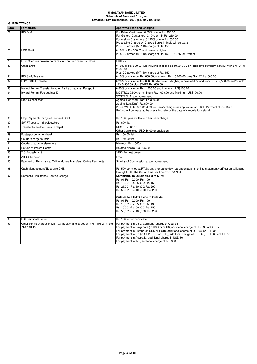|      | (G) REMITTANCE                                                                          |                                                                                                                                                                                                                                                                                                                                                                                                                       |  |
|------|-----------------------------------------------------------------------------------------|-----------------------------------------------------------------------------------------------------------------------------------------------------------------------------------------------------------------------------------------------------------------------------------------------------------------------------------------------------------------------------------------------------------------------|--|
| S.No | <b>Particulars</b>                                                                      | <b>Approved Fees and Charges</b>                                                                                                                                                                                                                                                                                                                                                                                      |  |
| 77   | <b>IRS</b> Draft                                                                        | For Prime Customers: 0.05% or min Rs. 250.00<br>For General Customers: 0.10% or min Rs. 250.00<br>For walk-in Customers: 0.125% or min Rs. 500.00<br>Processing Charge by Drawee Banks in India will be extra.<br>Plus DD advice (MT110) charge of Rs. 150                                                                                                                                                            |  |
| 78   | <b>USD Draft</b>                                                                        | 0.10% or Rs. 500.00 whichever is higher<br>Plus DD advice (MT110) charge of Rs. 150 + USD 5 for Draft of SCB.                                                                                                                                                                                                                                                                                                         |  |
| 79   | Euro Cheques drawan on banks in Non-European Countries                                  | <b>EUR 75</b>                                                                                                                                                                                                                                                                                                                                                                                                         |  |
| 80   | <b>Other Draft</b>                                                                      | 0.10% or Rs. 500.00, whichever is higher plus 10.00 USD or respective currency; however for JPY, JPY:<br>2.500.00<br>Plus DD advice (MT110) charge of Rs. 150                                                                                                                                                                                                                                                         |  |
| 81   | <b>IRS Swift Transfer</b>                                                               | 0.15% or minimum Rs. 600.00; maximum Rs. 15,000.00; plus SWIFT Rs. 600.00                                                                                                                                                                                                                                                                                                                                             |  |
| 82   | FCY SWIFT Transfer                                                                      | 0.20% or minimum Rs. 600.00, whichever is higher, in case of JPY additional JPY: 2,500.00 and/or upto<br>JPY 5,500.00 plus SWIFT Rs. 600.00                                                                                                                                                                                                                                                                           |  |
| 83   | Inward Remm. Transfer to other Banks or against Passport                                | 0.50% or minimum Rs. 1,000.00 and Maximum US\$100.00                                                                                                                                                                                                                                                                                                                                                                  |  |
| 84   | Inward Remm. Fee against ID                                                             | NOSTRO: 0.50% or minimum Rs.1,000.00 and Maximum US\$100.00<br>VOSTRO: As per agreement                                                                                                                                                                                                                                                                                                                               |  |
| 85   | <b>Draft Cancellation</b>                                                               | Against Returned Draft: Rs.300.00.<br>Against Lost Draft: Rs.600.00.<br>Plus SWIFT Rs. 600.00 & Other Bank's charges as applicable for STOP Payment of lost Draft.<br>Refund will be made at the prevailing rate on the date of cancellation/refund.                                                                                                                                                                  |  |
| 86   | Stop Payment Charge of Demand Draft                                                     | Rs. 1000 plus swift and other bank charge                                                                                                                                                                                                                                                                                                                                                                             |  |
| 87   | SWIFT cost to India/elsewhere                                                           | <b>Rs. 600 flat</b>                                                                                                                                                                                                                                                                                                                                                                                                   |  |
| 88   | Transfer to another Bank in Nepal                                                       | NRS: Rs.500.00.<br>Other Currencies: USD 10.00 or equivalent                                                                                                                                                                                                                                                                                                                                                          |  |
| 89   | Postage/courier in Nepal                                                                | Rs. 150.00 flat                                                                                                                                                                                                                                                                                                                                                                                                       |  |
| 90   | Courier charge to India                                                                 | Rs. 750.00 flat                                                                                                                                                                                                                                                                                                                                                                                                       |  |
| 91   | Courier charge to elsewhere                                                             | Minimum Rs. 1500/-                                                                                                                                                                                                                                                                                                                                                                                                    |  |
| 92   | Refund of Inward Remm.                                                                  | Related Nostro A/c: \$50.00                                                                                                                                                                                                                                                                                                                                                                                           |  |
| 93   | <b>T.C Encashment</b>                                                                   | \$15/- Per Instrument                                                                                                                                                                                                                                                                                                                                                                                                 |  |
| 94   | <b>ABBS Transfer</b>                                                                    | Free                                                                                                                                                                                                                                                                                                                                                                                                                  |  |
| 95   | Payment of Remittance, Online Money Transfers, Online Payments                          | Sharing of Commission as per agreement                                                                                                                                                                                                                                                                                                                                                                                |  |
| 96   | Cash Management/Electronic CMS                                                          | Rs. 500 per cheque/RTGS entry for same day realisation against online statement verification validating<br>through UTR. The Cut off time shall be 3:30 PM NST                                                                                                                                                                                                                                                         |  |
| 97   | Domestic Remittance Service Charge                                                      | Kathmandu to Outside/KTM to KTM:<br>Rs. 01-Rs. 10,000: Rs. 100<br>Rs. 10,001-Rs. 25,000: Rs. 150<br>Rs. 25,001-Rs. 50,000: Rs. 200<br>Rs. 50,001-Rs. 100,000: Rs. 250<br>Outside to KTM/Outside to Outside:<br>Rs. 01-Rs. 10,000: Rs. 100<br>Rs. 10,001-Rs. 25,000: Rs. 130<br>Rs. 25,001-Rs. 50,000: Rs. 150<br>Rs. 50,001-Rs. 100,000: Rs. 200                                                                      |  |
| 98   | FDI Certificate issue                                                                   | Rs. 1000/- per certificate                                                                                                                                                                                                                                                                                                                                                                                            |  |
| 99   | Other bank's charges in MT 103 (additional charges with MT 103 with field<br>71A:/OUR/) | For payment in USD, additional charge of USD 35<br>For payment in Singapore (in USD or SGD), additional charge of USD 35 or SGD 50<br>For payment in Europe (in USD or EUR), additional charge of USD 50 or EUR 35<br>For payment in UK (in GBP, USD or EUR), additonal charge of GBP 65, USD 60 or EUR 60<br>For payment in Australia, additional charge in USD 60<br>For payment in INR, addional charge of INR 350 |  |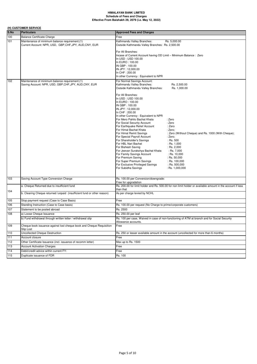# **(H) CUSTOMER SERVICE**

| S.No | <b>Particulars</b>                                                                                        | <b>Approved Fees and Charges</b>                                                                                                                                                                                                                                                                                                                                                                                                                                                                                                                                                                                                                                                                                                                                                                                                                                                    |
|------|-----------------------------------------------------------------------------------------------------------|-------------------------------------------------------------------------------------------------------------------------------------------------------------------------------------------------------------------------------------------------------------------------------------------------------------------------------------------------------------------------------------------------------------------------------------------------------------------------------------------------------------------------------------------------------------------------------------------------------------------------------------------------------------------------------------------------------------------------------------------------------------------------------------------------------------------------------------------------------------------------------------|
| 100  | <b>Balance Certificate Charge</b>                                                                         | Free                                                                                                                                                                                                                                                                                                                                                                                                                                                                                                                                                                                                                                                                                                                                                                                                                                                                                |
| 101  | Maintenance of minimum balance requirement:(1)<br>Current Account: NPR, USD, GBP, CHF, JPY, AUD, CNY, EUR | Kathmandu Valley Branches:<br>Rs. 5,000.00<br>Outside Kathmandu Valley Branches: Rs. 2,500.00                                                                                                                                                                                                                                                                                                                                                                                                                                                                                                                                                                                                                                                                                                                                                                                       |
|      |                                                                                                           | For All Branches:<br>Incase of Current Account having OD Limit - Minimum Balance: Zero<br>In USD: USD 100.00<br>In EURO: 100.00<br>IN GBP: 100.00<br>IN JPY: 12,000.00<br>In CHF: 200.00<br>In other Currency: Equivalent to NPR                                                                                                                                                                                                                                                                                                                                                                                                                                                                                                                                                                                                                                                    |
| 102  | Maintenance of minimum balance requirement:(1)<br>Saving Account: NPR, USD, GBP,CHF,JPY, AUD,CNY, EUR     | For Normal Savings Account:<br>Kathmandu Valley Branches:<br>Rs. 2,500.00<br>Outside Kathmandu Valley Branches:<br>Rs. 1,000.00                                                                                                                                                                                                                                                                                                                                                                                                                                                                                                                                                                                                                                                                                                                                                     |
|      |                                                                                                           | For All Branches:<br>In USD: USD 100.00<br>In EURO: 100.00<br>IN GBP: 100.00<br>IN JPY: 12,000.00<br>In CHF: 200.00<br>In other Currency : Equivalent to NPR<br>For Mero Pahilo Bachat Khata<br>: Zero<br>For Social Security Account<br>: Zero<br>For Earthquake Relief Account<br>: Zero<br>For Himal Bachat Khata<br>: Zero;<br>For Himal Remit Savings<br>: Zero (Without Cheque) and Rs. 1000 (With Cheque);<br>For Special Payroll Account<br>: Zero:<br>For Shareholder's Savings<br>: Rs. 500<br>For HBL Nari Bachat<br>$:$ Rs. 1,000<br>For Bishesh Saving<br>: Rs. $2,000$<br>For Jeevan Surakshya Bachat Khata<br>$:$ Rs. 7,000<br>For Family Savings Account<br>$:$ Rs. 10,000<br>For Premium Saving<br>$:$ Rs. 50,000<br>For Super Premium Savings<br>: Rs. 100,000<br>For Exclusive Privileged Savings<br>$:$ Rs. 500,000<br>For Subidha Savings<br>$:$ Rs. 1,000,000 |
| 103  | Saving Account Type Conversion Charge                                                                     | Rs. 100.00 per Conversion/downgrade:<br>Free for upgradation                                                                                                                                                                                                                                                                                                                                                                                                                                                                                                                                                                                                                                                                                                                                                                                                                        |
|      | a. Cheque Returned due to insufficient fund                                                               | Rs. 200.00 for limit holder and Rs. 500.00 for non limit holder or available amount in the account if less<br>than that                                                                                                                                                                                                                                                                                                                                                                                                                                                                                                                                                                                                                                                                                                                                                             |
| 104  | b. Clearing Cheque returned /unpaid (insufficient fund or other reason)                                   | As per charge levied by NCHL                                                                                                                                                                                                                                                                                                                                                                                                                                                                                                                                                                                                                                                                                                                                                                                                                                                        |
| 105  | Stop payment request (Case to Case Basis)                                                                 | Free                                                                                                                                                                                                                                                                                                                                                                                                                                                                                                                                                                                                                                                                                                                                                                                                                                                                                |
| 106  | Standing Instruction (Case to Case basis)                                                                 | Rs. 100.00 per request (No Charge to prime/corporate customers)                                                                                                                                                                                                                                                                                                                                                                                                                                                                                                                                                                                                                                                                                                                                                                                                                     |
| 107  | Statement to be posted abroad                                                                             | Rs. 2500                                                                                                                                                                                                                                                                                                                                                                                                                                                                                                                                                                                                                                                                                                                                                                                                                                                                            |
| 108  | a) Loose Cheque Issuance                                                                                  | Rs. 250.00 per leaf                                                                                                                                                                                                                                                                                                                                                                                                                                                                                                                                                                                                                                                                                                                                                                                                                                                                 |
|      | b) Fund withdrawal through written letter / withdrawal slip                                               | Rs. 100 per case, Waived in case of non-functioning of ATM at branch and for Social Security<br>Allowance accounts.                                                                                                                                                                                                                                                                                                                                                                                                                                                                                                                                                                                                                                                                                                                                                                 |
| 109  | Cheque book issuance against lost cheque book and Cheque Requisition<br>Slip Lost                         | Free                                                                                                                                                                                                                                                                                                                                                                                                                                                                                                                                                                                                                                                                                                                                                                                                                                                                                |
| 110  | <b>Uncollected Cheque Destruction</b>                                                                     | Rs. 250 or lesser available amount in the account (uncollected for more than 6 months)                                                                                                                                                                                                                                                                                                                                                                                                                                                                                                                                                                                                                                                                                                                                                                                              |
| 111  | Account closure                                                                                           | Free                                                                                                                                                                                                                                                                                                                                                                                                                                                                                                                                                                                                                                                                                                                                                                                                                                                                                |
| 112  | Other Certificate Issuance (incl. issuance of recomm letter)                                              | Max up to Rs. 1500                                                                                                                                                                                                                                                                                                                                                                                                                                                                                                                                                                                                                                                                                                                                                                                                                                                                  |
| 113  | <b>Account Activation Charges</b>                                                                         | Free                                                                                                                                                                                                                                                                                                                                                                                                                                                                                                                                                                                                                                                                                                                                                                                                                                                                                |
| 114  | Debit/credit advice within current FY:                                                                    | Free                                                                                                                                                                                                                                                                                                                                                                                                                                                                                                                                                                                                                                                                                                                                                                                                                                                                                |
| 115  | Duplicate issuance of FDR                                                                                 | Rs. 100                                                                                                                                                                                                                                                                                                                                                                                                                                                                                                                                                                                                                                                                                                                                                                                                                                                                             |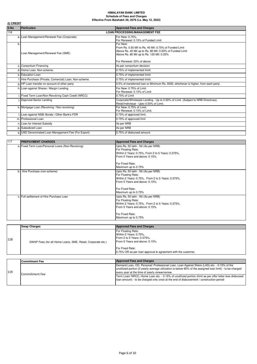| (I) CREDIT |                                                         |                                                                                                                                                                                                          |  |  |
|------------|---------------------------------------------------------|----------------------------------------------------------------------------------------------------------------------------------------------------------------------------------------------------------|--|--|
| S.No       | <b>Particulars</b>                                      | <b>Approved Fees and Charges</b>                                                                                                                                                                         |  |  |
| 116        |                                                         | <b>LOAN PROCESSING/MANAGEMENT FEE</b>                                                                                                                                                                    |  |  |
|            | a. Loan Management/Renewal Fee (Corporate)              | For New: 0.75%,<br>For Renewal: 0.15% of Funded Limit                                                                                                                                                    |  |  |
| b.         | Loan Management/Renewal Fee (SME)                       | For New:<br>From Rs. 0.50 Mil to Rs. 40 Mil: 0.75% of Funded Limit<br>Above Rs. 40 Mil up to Rs. 80 Mil: 0.50% of Funded Limit<br>Above Rs. 80 Mil up to Rs. 120 Mil: 0.25%<br>For Renewal: 20% of above |  |  |
|            | c. Consortium Financing                                 | As per consortium decision                                                                                                                                                                               |  |  |
|            | d. Home Loan, Non-scheme.                               | 0.75% of implemented limiit.                                                                                                                                                                             |  |  |
|            | e. Education Loan                                       | 0.75% of implemented limiit.                                                                                                                                                                             |  |  |
|            | f. Hire Purchase (Private, Comercial) Loan, Non-scheme. | 0.75% of implemented limiit.                                                                                                                                                                             |  |  |
|            | g. HP Loan transfer on account of other party           | 0.5% of transferred loan or Minimum Rs. 5000, whichever is higher, from each party.                                                                                                                      |  |  |
|            | h. Loan against Shares / Margin Lending                 | For New: 0.75% of Limit<br>For Renewal: 0.15% of Limit                                                                                                                                                   |  |  |
|            | i. Fixed Term Loan/Non-Revolving Cash Credit (NRCC)     | 0.75% of Limit                                                                                                                                                                                           |  |  |
|            | Deprived Sector Lending                                 | Corporate/Wholesale Lending - Up to 0.50% of Limit. (Subject to NRB Directives).<br>Retail/Individual - Upto 0.50% of Limit.                                                                             |  |  |
|            | k. Mortgage Loan (Revolving / Non revolving)            | For New: 0.75% of Limit.<br>For Renewal: 0.15% of Limit.                                                                                                                                                 |  |  |
|            | Loan against NSB/ Bonds / Other Bank's FDR              | 0.75% of approved limit.                                                                                                                                                                                 |  |  |
|            | m. Professional Loan                                    | 0.75% of approved limit                                                                                                                                                                                  |  |  |
|            | n. Loan for Interest Subsidy                            | As per NRB                                                                                                                                                                                               |  |  |
|            | p. Subsidized Loan                                      | As per NRB                                                                                                                                                                                               |  |  |
|            | g. USD Denominated Loan Management Fee (For Export)     | 0.75% of disbursed amount.                                                                                                                                                                               |  |  |

| 117 | <b>PREPAYMENT CHARGES</b>                         | <b>Approved Fees and Charges</b>                                                                                                                                                           |
|-----|---------------------------------------------------|--------------------------------------------------------------------------------------------------------------------------------------------------------------------------------------------|
|     | a. Fixed Term Loan/Personal Loans (Non-Revolving) | Upto Rs. 50 lakh - Nil (As per NRB)<br>For Floating Rate:<br>Within 2 Years: 0.75%, From 2 to 5 Years: 0.375%,<br>From 5 Years and above: 0.15%.                                           |
|     |                                                   | For Fixed Rate:<br>Maximum up to 0.75%                                                                                                                                                     |
|     | b. Hire Purchase (non-scheme)                     | Upto Rs. 50 lakh - Nil (As per NRB)<br>For Floating Rate:<br>Within 2 Years: 0.75%, From 2 to 5 Years: 0.375%,<br>From 5 Years and above: 0.15%.<br>For Fixed Rate:<br>Maximum up to 0.75% |
|     | c. Full settlement of Hire Purchase Loan          | Upto Rs. 50 lakh - Nil (As per NRB)<br>For Floating Rate:<br>Within 2 Years: 0.75%, From 2 to 5 Years: 0.375%,<br>From 5 Years and above: 0.15%.<br>For Fixed Rate:<br>Maximum up to 0.75% |

| For Floating Rate:<br>Within 2 Years: 0.75%,<br>From 2 to 5 Years: 0.375%,<br>From 5 Years and above: 0.15%.<br>SWAP Fees (for all Home Loans, SME, Retail, Corporate etc.) |     | <b>Swap Charges</b> | <b>Approved Fees and Charges</b> |
|-----------------------------------------------------------------------------------------------------------------------------------------------------------------------------|-----|---------------------|----------------------------------|
| <b>For Fixed Rate:</b><br>0.75% OR as per loan approval & agreement with the customer.                                                                                      | 118 |                     |                                  |

|     | <b>Commitment Fee</b> | <b>Approved Fees and Charges</b>                                                                                                                                                                                                                           |
|-----|-----------------------|------------------------------------------------------------------------------------------------------------------------------------------------------------------------------------------------------------------------------------------------------------|
| 119 |                       | Demand Loan, OD, Personal/ Professional Loan, Loan Against Share (LAS) etc. - 0.15% of the<br>unutilized portion (if yearly average utilization is below 60% of the assigned loan limit) - to be charged<br>every year at the time of yearly renew/review. |
|     | Commitment Fee        | Term Loan/ NRCC, Home Loan etc. - 0.15% of unutilized portion (limit as per offer letter less disbursed<br>loan amount) - to be charged only once at the end of disbursement / construction period                                                         |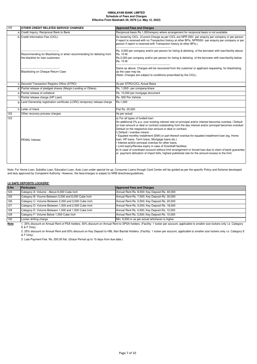| 120 | OTHER CREDIT RELATED SERVICE CHARGES                                                                      | <b>Approved Fees and Charges</b>                                                                                                                                                                                                                                                                                                                                                                                                                                                                                                                                                                                                                                                                                                                                                                                                                        |
|-----|-----------------------------------------------------------------------------------------------------------|---------------------------------------------------------------------------------------------------------------------------------------------------------------------------------------------------------------------------------------------------------------------------------------------------------------------------------------------------------------------------------------------------------------------------------------------------------------------------------------------------------------------------------------------------------------------------------------------------------------------------------------------------------------------------------------------------------------------------------------------------------------------------------------------------------------------------------------------------------|
|     | a. Credit Inquiry: Reciprocal Bank to Bank                                                                | Reciprocal basis Rs.1,000/enguiry where arrangement for reciprocal basis is not available.                                                                                                                                                                                                                                                                                                                                                                                                                                                                                                                                                                                                                                                                                                                                                              |
|     | b. Credit Information Fee (CICL)                                                                          | As levied by CICL. (Current Charge as per CICL are NPR 250/- per enquiry per company or per person<br>if report is received with no Transaction history at other BFIs. NPR550/- per enquiry per company or per<br>person if report is received with Transaction history at other BFIs.)                                                                                                                                                                                                                                                                                                                                                                                                                                                                                                                                                                 |
|     | Recommending for Blacklisting or when recommending for delisting from<br>the blacklist for loan customers | Rs. 3,000 per company and/or per person for listing & delisting of the borrower with loan/facility above<br>Rs. 10 M.<br>Rs.2,000 per company and/or per person for listing & delisting of the borrower with loan/facility below<br>Rs. 10 M.                                                                                                                                                                                                                                                                                                                                                                                                                                                                                                                                                                                                           |
|     | Blacklisting on Cheque Return Case                                                                        | Same as above. Charges will be recovered from the customer or applicant requesting for blacklisting<br>as the case may be.<br>(Note: Charges are subject to conditions prescribed by the CICL)                                                                                                                                                                                                                                                                                                                                                                                                                                                                                                                                                                                                                                                          |
| c.  | Secured Transaction Registry Office (STRO)                                                                | As per STRO/CICL Actual Basis                                                                                                                                                                                                                                                                                                                                                                                                                                                                                                                                                                                                                                                                                                                                                                                                                           |
|     | d. Partial release of pledged shares (Margin Lending or Others)                                           | Rs. 1,000/- per company/share                                                                                                                                                                                                                                                                                                                                                                                                                                                                                                                                                                                                                                                                                                                                                                                                                           |
|     | e. Partial release of collateral                                                                          | Rs. 10,000 per mortgage document                                                                                                                                                                                                                                                                                                                                                                                                                                                                                                                                                                                                                                                                                                                                                                                                                        |
|     | Partial release charge (HP Loan)                                                                          | Rs. 500 Per Vehicle                                                                                                                                                                                                                                                                                                                                                                                                                                                                                                                                                                                                                                                                                                                                                                                                                                     |
|     | g. Land Ownership registration certificate (LORC) temporary release charge                                | Rs.1.000                                                                                                                                                                                                                                                                                                                                                                                                                                                                                                                                                                                                                                                                                                                                                                                                                                                |
|     | h. Letter of Intent                                                                                       | Flat Rs. 25,000                                                                                                                                                                                                                                                                                                                                                                                                                                                                                                                                                                                                                                                                                                                                                                                                                                         |
| 122 | Other recovery process charges                                                                            | As per actual                                                                                                                                                                                                                                                                                                                                                                                                                                                                                                                                                                                                                                                                                                                                                                                                                                           |
| 123 | <b>PENAL Interest</b>                                                                                     | a) For all types of funded loan:<br>An additional 2% p.a. over existing interest rate on principal and/or interest becomes overdue / Default<br>on loan amount or deal or contract outstanding from the day interest and/or principal becomes overdue/<br>Default on the respective loan amount or deal or contract.<br>i) Default / overdue means :<br>. Equated monthly installment (EMI) or part thereof overdue for equated installment loan (eg. Home<br>Ioan, HP Ioans, Term Ioans, Mortgage Ioans etc.)<br>. Interest and/or principal overdue for other loans.<br>· Limit expiry/Review expiry in case of Overdraft facilities.<br>b) In case of overdrawn account without limit arrangement or forced loan due to claim of bank guarantee<br>or payment oblication of import bills, highest published rate for the amount excess to the limit. |

Note: For Home Loan, Subidha Loan, Education Loan, Auto Loan under special tie-up, Consumer Loans through Card Center will be guided as per the specific Policy and Scheme developed and duly approved by Competent Authority. However, the fees/charges is subject to NRB directives/guidelines.

#### **(J) SAFE DEPOSITS LOCKERS\***

| S.No | <b>Particulars</b>                                   | <b>Approved Fees and Charges</b>                |
|------|------------------------------------------------------|-------------------------------------------------|
| 124  | Category A: Volume - Above 6,000 Cube Inch           | Annual Rent-Rs. 8,000; Key Deposit-Rs. 40,000   |
| 125  | Category B: Voume-Between 3,000 and 6,000 Cube Inch  | Annual Rent-Rs. 7,000; Key Deposit-Rs. 30,000   |
| 126  | Category C: Volume-Between 2,000 and 3,000 Cube Inch | Annual Rent-Rs. 5,500; Key Deposit-Rs. 20,000   |
| 127  | Category D: Volume-Between 1,500 and 2,000 Cube Inch | Annual Rent-Rs. 5,000; Key Deposit-Rs. 18,000   |
| 128  | Category E: Volume-Between 1,000 and 1,500 Cube Inch | Annual Rent Rs. 4,000; Key Deposit-Rs. 12,000   |
| 129  | Category F: Volume Below 1,000 Cube Inch             | Annual Rent Rs. 3,500; Key Deposit-Rs. 10,000   |
| 130  | Locker drilling charge                               | Min. 6,000 or as per actual whichever is higher |
|      |                                                      |                                                 |

**Note** 1. 25% discount on Annual Rent ot PSA holders. 50% discount on Annual Rent to SPSA holders. (Facility: 1 locker per account, applicable to smaller size lockers only i.e. Category E & F Only).

2. 25% discount on Annual Rent and 50% discount on Key Deposit to HBL Nari Bachat Holders. (Facility: 1 locker per account, applicable to smaller size lockers only i.e. Category E & F Only).

3. Late Payment Fee. Rs. 200.00 flat. (Grace Period up to 15 days from due date.)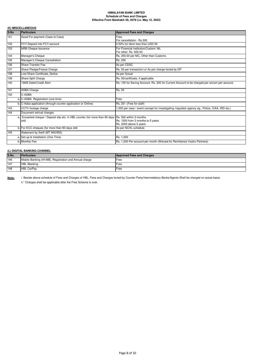# **(K) MISCELLANEOUS**

| S.No | Particulars                                                                                       | <b>Approved Fees and Charges</b>                                                                |  |
|------|---------------------------------------------------------------------------------------------------|-------------------------------------------------------------------------------------------------|--|
| 131  | Good For payment (Case to Case)                                                                   | Free.                                                                                           |  |
|      |                                                                                                   | For cancellation - Rs.300                                                                       |  |
| 132  | FCY Deposit into FCY account                                                                      | 0.50% for deno less than USD 50                                                                 |  |
| 133  | NRB Cheque Issuance                                                                               | For Financial institution/Custom: Nil,                                                          |  |
|      |                                                                                                   | For other: Rs. 500.00                                                                           |  |
| 134  | Manager's Cheque                                                                                  | Rs. 250.00 per MC, Other than Customs                                                           |  |
| 135  | Manager's Cheque Cancellation                                                                     | Rs. 250                                                                                         |  |
| 136  | Share Transfer Fee                                                                                | As per CDSC                                                                                     |  |
| 137  | Share Pledge/Freeze Charge                                                                        | Rs. 50 per transaction or As per charge levied by DP                                            |  |
| 138  | Lost Share Certificate Notice                                                                     | As per Actual                                                                                   |  |
| 139  | Share Split Charge                                                                                | Rs. 50/certificate, if applicable                                                               |  |
| 140  | *SMS Debit/Credit Alert                                                                           | Rs. 150 for Saving Account. Rs. 300 for Current Account to be charged per annum per account.    |  |
| 141  | <b>ASBA Charge</b>                                                                                | Rs. 20                                                                                          |  |
| 142  | C-ASBA                                                                                            |                                                                                                 |  |
|      | a. C-ASBA Registration (one time)                                                                 | Free                                                                                            |  |
|      | b. C-Asba application (through counter application or Online)                                     | Rs. 20/- (Free for staff)                                                                       |  |
| 143  | CCTV footage charge                                                                               | 1,000 per case / event (except for investigating /regulator agency eg., Police, CIAA, IRD etc.) |  |
| 144  | Document retrival charges                                                                         |                                                                                                 |  |
| a.   | Encashed cheque / Deposit slip etc. in HBL counter (for more than 90 days Rs. 500 within 3 months |                                                                                                 |  |
|      | old)                                                                                              | Rs. 1000 from 3 months to 5 years                                                               |  |
|      |                                                                                                   | Rs. 2000 above 5 years                                                                          |  |
|      | b. For ECC cheques (for more than 90 days old)                                                    | As per NCHL schedule                                                                            |  |
| 145  | Statement by Swift (MT 940/950)                                                                   |                                                                                                 |  |
|      | a. Set-up & Installation (One Time)                                                               | Rs. 1.000                                                                                       |  |
|      | b. Monthly Fee                                                                                    | Rs. 1,200 Per account per month (Waived for Remittance Vostro Partners)                         |  |

### **(L) DIGITAL BANKING CHANNEL**

| S.No | <b>Particulars</b>                                     | <b>Approved Fees and Charges</b> |
|------|--------------------------------------------------------|----------------------------------|
| 146  | Mobile Banking (HI-MB), Registration and Annual charge | Free                             |
| 147  | <b>HBL</b> iBanking                                    | Free                             |
| 148  | <b>HBL CorPav</b>                                      | Free                             |

**Note:**

i. Beside above schedule of Fees and Charges of HBL, Fees and Charges levied by Counter Party/Intermedatory Banks/Agents Shall be charged on actual basis. ii.\* Charges shall be applicable after the Free Scheme is over.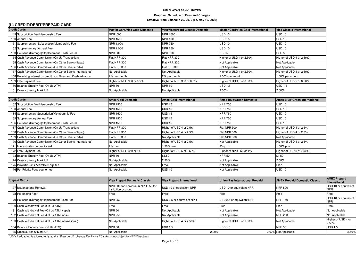# **(L) CREDIT/DEBIT/PREPAID CARD**

| <b>Credit Cards</b> |                                                             | <b>Master Card/Visa Gold Domestic</b> | Visa/Mastercard Classic Domestic | Master Card/Visa Gold International | Visa Classic International |
|---------------------|-------------------------------------------------------------|---------------------------------------|----------------------------------|-------------------------------------|----------------------------|
|                     | 149 Subscription Fee/Membership Fee                         | NPR1500                               | NPR 1000                         | <b>USD 15</b>                       | USD 10                     |
|                     | 150 Annual Fee                                              | <b>NPR 1500</b>                       | <b>NPR 1000</b>                  | <b>USD 15</b>                       | <b>USD 10</b>              |
|                     | 151 Supplementary: Subscription/Membership Fee              | NPR 1,000                             | <b>NPR 750</b>                   | <b>USD 10</b>                       | USD <sub>10</sub>          |
|                     | 152 Supplementary: Annual Fee                               | NPR 1,000                             | <b>NPR 750</b>                   | <b>USD 10</b>                       | <b>USD 10</b>              |
|                     | 153 Re-issue (Damage)/Replacement (Lost) Fee-all            | <b>NPR 500</b>                        | <b>NPR 500</b>                   | USD <sub>5</sub>                    | USD <sub>5</sub>           |
|                     | 154 Cash Advance Commission (On Us Transaction)             | Flat NPR 300                          | Flat NPR 300                     | Higher of USD 4 or 2.50%            | Higher of USD 4 or 2.50%   |
|                     | 155 Cash Advance Commission (On Other Banks-Nepal)          | Flat NPR 300                          | Flat NPR 300                     | Not Applicable                      | Not Applicable             |
|                     | 156 Cash Advance Commission (On Other Banks-India)          | Flat NPR 300                          | Flat NPR 300                     | Not Applicable                      | Not Applicable             |
|                     | 157 Cash Advance Commission (On Other Banks-International)  | Not Applicable                        | Not Applicable                   | Higher of USD 4 or 2.50%            | Higher of USD 4 or 2.50%   |
|                     | 158 Revolving Interest on credit card Dues and Cash advance | 2% per month                          | 2% per month                     | 1.50% per month                     | 1.50% per month            |
|                     | 159 Late Payment Fee                                        | Higher of NPR 300 or 0.5%             | Higher of NPR 300 or 0.5%        | Higher of USD 5 or 0.50%            | Higher of USD 5 or 0.50%   |
|                     | 160 Balance Enquiry Fee (Off Us ATM)                        | <b>NPR 50</b>                         | <b>NPR 50</b>                    | $\overline{UBD}$ 1.5                | $\overline{UBD}$ 1.5       |
|                     | 161 Cross currency Mark UP                                  | Not Applicable                        | Not Applicable                   | 2.00%                               | 2.00%                      |

| <b>Credit Cards</b>                                        | <b>Amex Gold Domestic</b> | <b>Amex Gold International</b> | <b>Amex Blue/Green Domestic</b> | Amex Blue/ Green International |
|------------------------------------------------------------|---------------------------|--------------------------------|---------------------------------|--------------------------------|
| 162 Subscription Fee/Membership Fee                        | NPR 1500                  | <b>USD 15</b>                  | <b>NPR 750</b>                  | <b>USD 10</b>                  |
| 163 Annual Fee                                             | NPR 1500                  | <b>USD 15</b>                  | <b>NPR 750</b>                  | <b>USD 10</b>                  |
| 164 Supplementary Subscription/Membership Fee              | NPR 1500                  | <b>USD 15</b>                  | <b>NPR 750</b>                  | <b>USD 10</b>                  |
| 165 Supplementary Annual Fee                               | NPR 1500                  | <b>USD 15</b>                  | <b>NPR 750</b>                  | <b>USD 10</b>                  |
| 166 Re-issue (Damage)/Replacement (Lost) Fee-all           | NPR 1500                  | <b>USD 15</b>                  | <b>NPR 750</b>                  | USD 10                         |
| 167 Cash Advance Commission (On Us Transaction)            | Flat NPR 300              | Higher of USD 4 or 2.5%        | Flat NPR 300                    | Higher of USD 4 or 2.5%        |
| 168 Cash Advance Commission (On Other Banks-Nepal)         | Flat NPR 300              | Higher of USD 4 or 2.5%        | Flat NPR 300                    | Higher of USD 4 or 2.5%        |
| 169 Cash Advance Commission (On Other Banks-India)         | Flat NPR 300              | Not Applicable                 | Flat NPR 300                    | Not Applicable                 |
| 170 Cash Advance Commission (On Other Banks-International) | Not Applicable            | Higher of USD 4 or 2.5%        | Not Applicable                  | Higher of USD 4 or 2.5%        |
| 171 Interest rates on credit card                          | 2% p.m.                   | 1.50% p.m.                     | 2% p.m.                         | 1.50% p.m.                     |
| 172 Late Payment Fee                                       | Higher of NPR 350 or 1%   | Higher of USD 5 of 0.50%       | Higher of NPR 350 or 1%         | Higher of USD 5 of 0.50%       |
| 173 Balance Enquiry Fee (Off Us ATM)                       | NPR 50                    | \$1.50                         | <b>NPR 50</b>                   | \$1.50                         |
| 174 Cross currency Mark UP                                 | Not Applicable            | 2.50%                          | Not Applicable                  | 2.50%                          |
| 175 Priority Pass Membership fee                           | Not Applicable            | Free                           | Not Applicable                  | Free                           |
| 176 Per Priority Pass courier fee                          | Not Applicable            | <b>USD 10</b>                  | Not Applicable                  | <b>USD 10</b>                  |

| <b>Prepaid Cards</b>                               | <b>Visa Prepaid Domestic Classic</b>                         | Visa Prepaid International | Union Pay International Prepaid | <b>AMEX Prepaid Domestic Classic</b> | <b>AMEX Prepaid</b><br><i><u><b>International</b></u></i> |
|----------------------------------------------------|--------------------------------------------------------------|----------------------------|---------------------------------|--------------------------------------|-----------------------------------------------------------|
| 177 Issuance and Renewal                           | NPR 500 for individual & NPR 250 for<br>institution or group | USD 10 or equivalent NPR   | USD 10 or equivalent NPR        | <b>NPR 500</b>                       | USD 10 or equivalent<br><b>NPR</b>                        |
| 178 Re-loading Fee*                                | Free                                                         | Free                       | Free                            | Free                                 | Free                                                      |
| 179 Re-issue (Damage)/Replacement (Lost) Fee       | <b>NPR 250</b>                                               | USD 2.5 or equivalent NPR  | USD 2.5 or equivalent NPR       | <b>NPR 150</b>                       | USD 10 or equivalent<br><b>NPR</b>                        |
| 180 Cash Withdrawal Fee (On us ATM)                | Free                                                         | Free                       | <b>IFree</b>                    | Free                                 | Free                                                      |
| 181 Cash Withdrawal Fee (Off us ATM-Nepal)         | NPR 50                                                       | Not Applicable             | Not Applicable                  | Not Applicable                       | Not Applicable                                            |
| 182 Cash Withdrawal Fee (Off us ATM-India)         | <b>NPR 250</b>                                               | Not Applicable             | Not Applicable                  | <b>NPR 250</b>                       | Not Applicable                                            |
| 183 Cash Withdrawal Fee (Off us ATM-International) | Not Applicable                                               | Higher of USD 4 or 2.50%   | Higher of USD 3 or 1.50%        | Not Applicable                       | Higher of USD 4 or<br>2.50%                               |
| 184 Balance Enquiry Fee (Off Us ATM)               | <b>NPR 50</b>                                                | <b>USD 1.5</b>             | <b>USD 1.5</b>                  | <b>NPR 50</b>                        | <b>USD 1.5</b>                                            |
| 185 Cross currency Mark UP                         | Not Applicable                                               | 2.00%                      |                                 | 2.00% Not Applicable                 | 2.50%                                                     |

\*USD Re-loading is allowed only against Passport/Exchange Facility or FCY Account subject to NRB Directives.